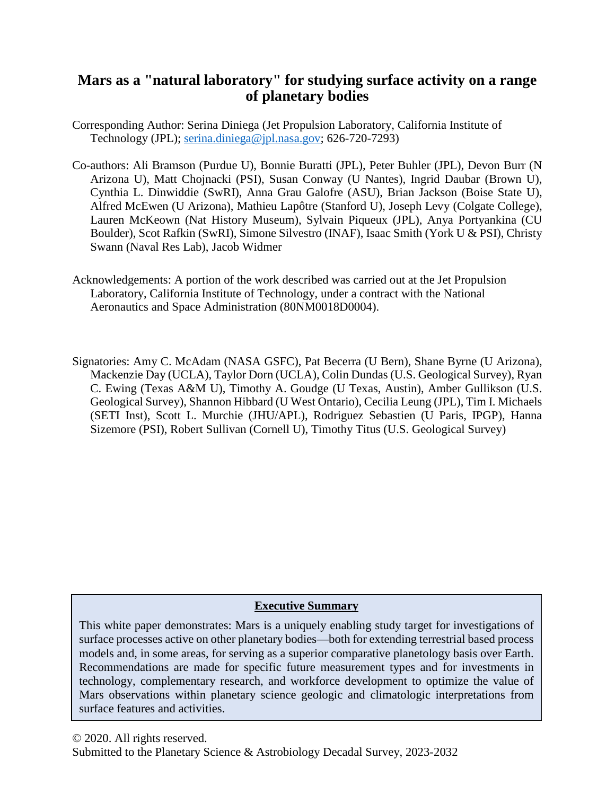# **Mars as a "natural laboratory" for studying surface activity on a range of planetary bodies**

- Corresponding Author: Serina Diniega (Jet Propulsion Laboratory, California Institute of Technology (JPL); [serina.diniega@jpl.nasa.gov;](mailto:serina.diniega@jpl.nasa.gov) 626-720-7293)
- Co-authors: Ali Bramson (Purdue U), Bonnie Buratti (JPL), Peter Buhler (JPL), Devon Burr (N Arizona U), Matt Chojnacki (PSI), Susan Conway (U Nantes), Ingrid Daubar (Brown U), Cynthia L. Dinwiddie (SwRI), Anna Grau Galofre (ASU), Brian Jackson (Boise State U), Alfred McEwen (U Arizona), Mathieu Lapôtre (Stanford U), Joseph Levy (Colgate College), Lauren McKeown (Nat History Museum), Sylvain Piqueux (JPL), Anya Portyankina (CU Boulder), Scot Rafkin (SwRI), Simone Silvestro (INAF), Isaac Smith (York U & PSI), Christy Swann (Naval Res Lab), Jacob Widmer
- Acknowledgements: A portion of the work described was carried out at the Jet Propulsion Laboratory, California Institute of Technology, under a contract with the National Aeronautics and Space Administration (80NM0018D0004).
- Signatories: Amy C. McAdam (NASA GSFC), Pat Becerra (U Bern), Shane Byrne (U Arizona), Mackenzie Day (UCLA), Taylor Dorn (UCLA), Colin Dundas (U.S. Geological Survey), Ryan C. Ewing (Texas A&M U), Timothy A. Goudge (U Texas, Austin), Amber Gullikson (U.S. Geological Survey), Shannon Hibbard (U West Ontario), Cecilia Leung (JPL), Tim I. Michaels (SETI Inst), Scott L. Murchie (JHU/APL), Rodriguez Sebastien (U Paris, IPGP), Hanna Sizemore (PSI), Robert Sullivan (Cornell U), Timothy Titus (U.S. Geological Survey)

# **Executive Summary**

This white paper demonstrates: Mars is a uniquely enabling study target for investigations of surface processes active on other planetary bodies—both for extending terrestrial based process models and, in some areas, for serving as a superior comparative planetology basis over Earth. Recommendations are made for specific future measurement types and for investments in technology, complementary research, and workforce development to optimize the value of Mars observations within planetary science geologic and climatologic interpretations from surface features and activities.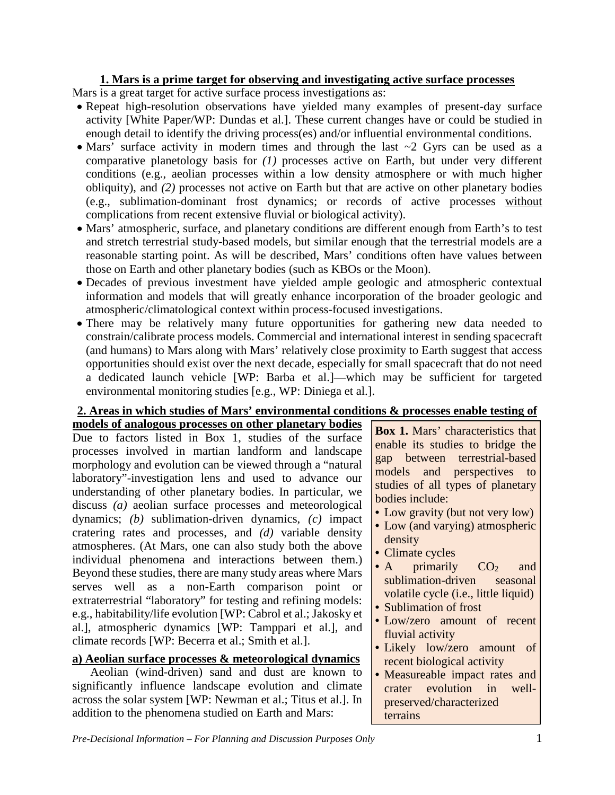# **1. Mars is a prime target for observing and investigating active surface processes**

Mars is a great target for active surface process investigations as:

- Repeat high-resolution observations have yielded many examples of present-day surface activity [White Paper/WP: Dundas et al.]. These current changes have or could be studied in enough detail to identify the driving process(es) and/or influential environmental conditions.
- Mars' surface activity in modern times and through the last  $\sim$ 2 Gyrs can be used as a comparative planetology basis for *(1)* processes active on Earth, but under very different conditions (e.g., aeolian processes within a low density atmosphere or with much higher obliquity), and *(2)* processes not active on Earth but that are active on other planetary bodies (e.g., sublimation-dominant frost dynamics; or records of active processes without complications from recent extensive fluvial or biological activity).
- Mars' atmospheric, surface, and planetary conditions are different enough from Earth's to test and stretch terrestrial study-based models, but similar enough that the terrestrial models are a reasonable starting point. As will be described, Mars' conditions often have values between those on Earth and other planetary bodies (such as KBOs or the Moon).
- Decades of previous investment have yielded ample geologic and atmospheric contextual information and models that will greatly enhance incorporation of the broader geologic and atmospheric/climatological context within process-focused investigations.
- There may be relatively many future opportunities for gathering new data needed to constrain/calibrate process models. Commercial and international interest in sending spacecraft (and humans) to Mars along with Mars' relatively close proximity to Earth suggest that access opportunities should exist over the next decade, especially for small spacecraft that do not need a dedicated launch vehicle [WP: Barba et al.]—which may be sufficient for targeted environmental monitoring studies [e.g., WP: Diniega et al.].

### **2. Areas in which studies of Mars' environmental conditions & processes enable testing of models of analogous processes on other planetary bodies**

Due to factors listed in Box 1, studies of the surface processes involved in martian landform and landscape morphology and evolution can be viewed through a "natural laboratory"-investigation lens and used to advance our understanding of other planetary bodies. In particular, we discuss *(a)* aeolian surface processes and meteorological dynamics; *(b)* sublimation-driven dynamics, *(c)* impact cratering rates and processes, and *(d)* variable density atmospheres. (At Mars, one can also study both the above individual phenomena and interactions between them.) Beyond these studies, there are many study areas where Mars serves well as a non-Earth comparison point or extraterrestrial "laboratory" for testing and refining models: e.g., habitability/life evolution [WP: Cabrol et al.; Jakosky et al.], atmospheric dynamics [WP: Tamppari et al.], and climate records [WP: Becerra et al.; Smith et al.].

# **a) Aeolian surface processes & meteorological dynamics**

Aeolian (wind-driven) sand and dust are known to significantly influence landscape evolution and climate across the solar system [WP: Newman et al.; Titus et al.]. In addition to the phenomena studied on Earth and Mars:

**Box 1.** Mars' characteristics that enable its studies to bridge the gap between terrestrial-based models and perspectives to studies of all types of planetary bodies include:

- Low gravity (but not very low)
- Low (and varying) atmospheric density
- Climate cycles
- A primarily  $CO<sub>2</sub>$  and sublimation-driven seasonal volatile cycle (i.e., little liquid)
- Sublimation of frost
- Low/zero amount of recent fluvial activity
- Likely low/zero amount of recent biological activity
- Measureable impact rates and crater evolution in wellpreserved/characterized terrains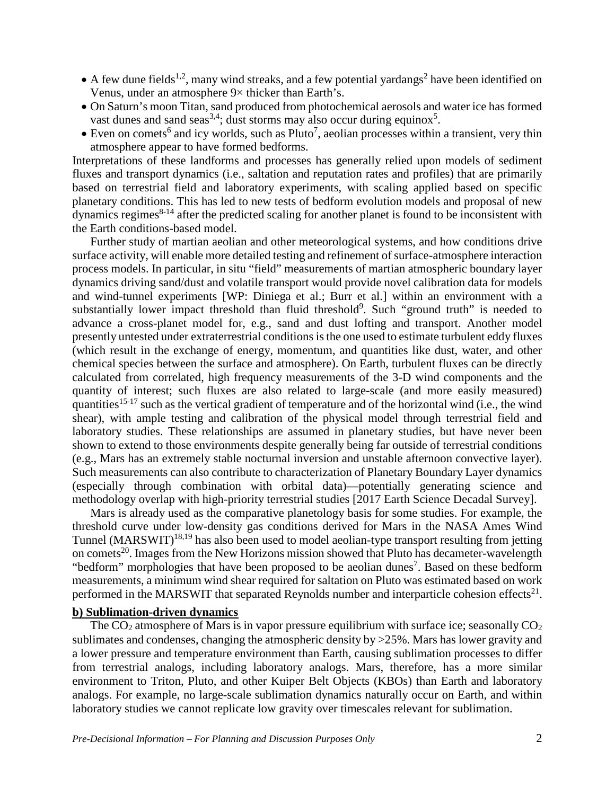- $\bullet$  A few dune fields<sup>1,2</sup>, many wind streaks, and a few potential yardangs<sup>2</sup> have been identified on Venus, under an atmosphere 9× thicker than Earth's.
- On Saturn's moon Titan, sand produced from photochemical aerosols and water ice has formed vast dunes and sand seas<sup>3,4</sup>; dust storms may also occur during equinox<sup>5</sup>.
- Even on comets<sup>6</sup> and icy worlds, such as Pluto<sup>7</sup>, aeolian processes within a transient, very thin atmosphere appear to have formed bedforms.

Interpretations of these landforms and processes has generally relied upon models of sediment fluxes and transport dynamics (i.e., saltation and reputation rates and profiles) that are primarily based on terrestrial field and laboratory experiments, with scaling applied based on specific planetary conditions. This has led to new tests of bedform evolution models and proposal of new  $\alpha$  dynamics regimes<sup>8-14</sup> after the predicted scaling for another planet is found to be inconsistent with the Earth conditions-based model.

Further study of martian aeolian and other meteorological systems, and how conditions drive surface activity, will enable more detailed testing and refinement of surface-atmosphere interaction process models. In particular, in situ "field" measurements of martian atmospheric boundary layer dynamics driving sand/dust and volatile transport would provide novel calibration data for models and wind-tunnel experiments [WP: Diniega et al.; Burr et al.] within an environment with a substantially lower impact threshold than fluid threshold<sup>9</sup>. Such "ground truth" is needed to advance a cross-planet model for, e.g., sand and dust lofting and transport. Another model presently untested under extraterrestrial conditions is the one used to estimate turbulent eddy fluxes (which result in the exchange of energy, momentum, and quantities like dust, water, and other chemical species between the surface and atmosphere). On Earth, turbulent fluxes can be directly calculated from correlated, high frequency measurements of the 3-D wind components and the quantity of interest; such fluxes are also related to large-scale (and more easily measured) quantities15-17 such as the vertical gradient of temperature and of the horizontal wind (i.e., the wind shear), with ample testing and calibration of the physical model through terrestrial field and laboratory studies. These relationships are assumed in planetary studies, but have never been shown to extend to those environments despite generally being far outside of terrestrial conditions (e.g., Mars has an extremely stable nocturnal inversion and unstable afternoon convective layer). Such measurements can also contribute to characterization of Planetary Boundary Layer dynamics (especially through combination with orbital data)—potentially generating science and methodology overlap with high-priority terrestrial studies [2017 Earth Science Decadal Survey].

Mars is already used as the comparative planetology basis for some studies. For example, the threshold curve under low-density gas conditions derived for Mars in the NASA Ames Wind Tunnel (MARSWIT)<sup>18,19</sup> has also been used to model aeolian-type transport resulting from jetting on comets<sup>20</sup>. Images from the New Horizons mission showed that Pluto has decameter-wavelength "bedform" morphologies that have been proposed to be aeolian dunes<sup>7</sup>. Based on these bedform measurements, a minimum wind shear required for saltation on Pluto was estimated based on work performed in the MARSWIT that separated Reynolds number and interparticle cohesion effects<sup>21</sup>.

## **b) Sublimation-driven dynamics**

The  $CO<sub>2</sub>$  atmosphere of Mars is in vapor pressure equilibrium with surface ice; seasonally  $CO<sub>2</sub>$ sublimates and condenses, changing the atmospheric density by >25%. Mars has lower gravity and a lower pressure and temperature environment than Earth, causing sublimation processes to differ from terrestrial analogs, including laboratory analogs. Mars, therefore, has a more similar environment to Triton, Pluto, and other Kuiper Belt Objects (KBOs) than Earth and laboratory analogs. For example, no large-scale sublimation dynamics naturally occur on Earth, and within laboratory studies we cannot replicate low gravity over timescales relevant for sublimation.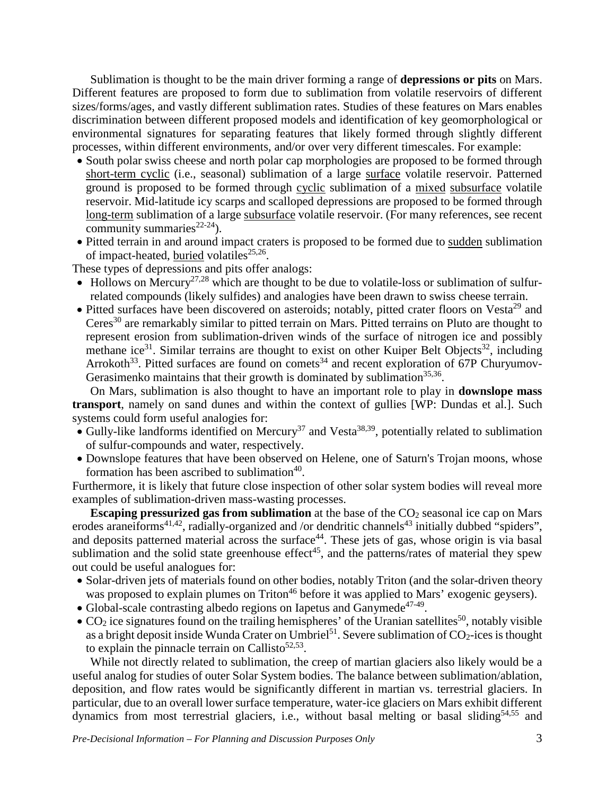Sublimation is thought to be the main driver forming a range of **depressions or pits** on Mars. Different features are proposed to form due to sublimation from volatile reservoirs of different sizes/forms/ages, and vastly different sublimation rates. Studies of these features on Mars enables discrimination between different proposed models and identification of key geomorphological or environmental signatures for separating features that likely formed through slightly different processes, within different environments, and/or over very different timescales. For example:

- South polar swiss cheese and north polar cap morphologies are proposed to be formed through short-term cyclic (i.e., seasonal) sublimation of a large surface volatile reservoir. Patterned ground is proposed to be formed through cyclic sublimation of a mixed subsurface volatile reservoir. Mid-latitude icy scarps and scalloped depressions are proposed to be formed through long-term sublimation of a large subsurface volatile reservoir. (For many references, see recent community summaries<sup>22-24</sup>).
- Pitted terrain in and around impact craters is proposed to be formed due to sudden sublimation of impact-heated, buried volatiles<sup>25,26</sup>.

These types of depressions and pits offer analogs:

- Hollows on Mercury<sup>27,28</sup> which are thought to be due to volatile-loss or sublimation of sulfurrelated compounds (likely sulfides) and analogies have been drawn to swiss cheese terrain.
- Pitted surfaces have been discovered on asteroids; notably, pitted crater floors on Vesta<sup>29</sup> and Ceres<sup>30</sup> are remarkably similar to pitted terrain on Mars. Pitted terrains on Pluto are thought to represent erosion from sublimation-driven winds of the surface of nitrogen ice and possibly methane ice<sup>31</sup>. Similar terrains are thought to exist on other Kuiper Belt Objects<sup>32</sup>, including Arrokoth<sup>33</sup>. Pitted surfaces are found on comets<sup>34</sup> and recent exploration of 67P Churyumov-Gerasimenko maintains that their growth is dominated by sublimation $35,36$ .

On Mars, sublimation is also thought to have an important role to play in **downslope mass transport**, namely on sand dunes and within the context of gullies [WP: Dundas et al.]. Such systems could form useful analogies for:

- Gully-like landforms identified on Mercury<sup>37</sup> and Vesta<sup>38,39</sup>, potentially related to sublimation of sulfur-compounds and water, respectively.
- Downslope features that have been observed on Helene, one of Saturn's Trojan moons, whose formation has been ascribed to sublimation $40$ .

Furthermore, it is likely that future close inspection of other solar system bodies will reveal more examples of sublimation-driven mass-wasting processes.

**Escaping pressurized gas from sublimation** at the base of the CO<sub>2</sub> seasonal ice cap on Mars erodes araneiforms<sup>41,42</sup>, radially-organized and /or dendritic channels<sup>43</sup> initially dubbed "spiders", and deposits patterned material across the surface<sup>44</sup>. These jets of gas, whose origin is via basal sublimation and the solid state greenhouse effect<sup>45</sup>, and the patterns/rates of material they spew out could be useful analogues for:

- Solar-driven jets of materials found on other bodies, notably Triton (and the solar-driven theory was proposed to explain plumes on Triton<sup>46</sup> before it was applied to Mars' exogenic geysers).
- Global-scale contrasting albedo regions on Iapetus and Ganymede<sup>47-49</sup>.
- $CO<sub>2</sub>$  ice signatures found on the trailing hemispheres' of the Uranian satellites<sup>50</sup>, notably visible as a bright deposit inside Wunda Crater on Umbriel<sup>51</sup>. Severe sublimation of  $CO_2$ -ices is thought to explain the pinnacle terrain on Callisto<sup>52,53</sup>.

While not directly related to sublimation, the creep of martian glaciers also likely would be a useful analog for studies of outer Solar System bodies. The balance between sublimation/ablation, deposition, and flow rates would be significantly different in martian vs. terrestrial glaciers. In particular, due to an overall lower surface temperature, water-ice glaciers on Mars exhibit different dynamics from most terrestrial glaciers, i.e., without basal melting or basal sliding<sup>54,55</sup> and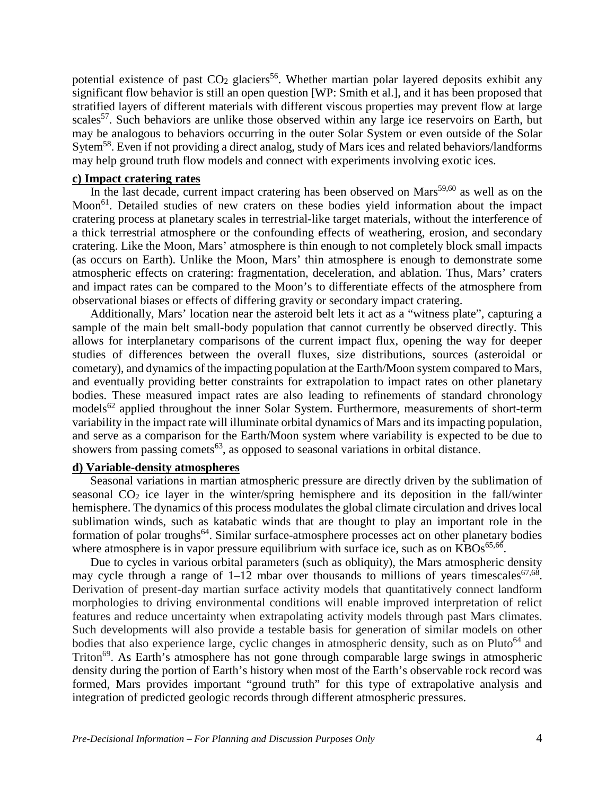potential existence of past  $CO<sub>2</sub>$  glaciers<sup>56</sup>. Whether martian polar layered deposits exhibit any significant flow behavior is still an open question [WP: Smith et al.], and it has been proposed that stratified layers of different materials with different viscous properties may prevent flow at large scales<sup>57</sup>. Such behaviors are unlike those observed within any large ice reservoirs on Earth, but may be analogous to behaviors occurring in the outer Solar System or even outside of the Solar Sytem<sup>58</sup>. Even if not providing a direct analog, study of Mars ices and related behaviors/landforms may help ground truth flow models and connect with experiments involving exotic ices.

#### **c) Impact cratering rates**

In the last decade, current impact cratering has been observed on  $Mars<sup>59,60</sup>$  as well as on the Moon<sup>61</sup>. Detailed studies of new craters on these bodies yield information about the impact cratering process at planetary scales in terrestrial-like target materials, without the interference of a thick terrestrial atmosphere or the confounding effects of weathering, erosion, and secondary cratering. Like the Moon, Mars' atmosphere is thin enough to not completely block small impacts (as occurs on Earth). Unlike the Moon, Mars' thin atmosphere is enough to demonstrate some atmospheric effects on cratering: fragmentation, deceleration, and ablation. Thus, Mars' craters and impact rates can be compared to the Moon's to differentiate effects of the atmosphere from observational biases or effects of differing gravity or secondary impact cratering.

Additionally, Mars' location near the asteroid belt lets it act as a "witness plate", capturing a sample of the main belt small-body population that cannot currently be observed directly. This allows for interplanetary comparisons of the current impact flux, opening the way for deeper studies of differences between the overall fluxes, size distributions, sources (asteroidal or cometary), and dynamics of the impacting population at the Earth/Moon system compared to Mars, and eventually providing better constraints for extrapolation to impact rates on other planetary bodies. These measured impact rates are also leading to refinements of standard chronology models<sup>62</sup> applied throughout the inner Solar System. Furthermore, measurements of short-term variability in the impact rate will illuminate orbital dynamics of Mars and its impacting population, and serve as a comparison for the Earth/Moon system where variability is expected to be due to showers from passing comets<sup> $63$ </sup>, as opposed to seasonal variations in orbital distance.

#### **d) Variable-density atmospheres**

Seasonal variations in martian atmospheric pressure are directly driven by the sublimation of seasonal  $CO<sub>2</sub>$  ice layer in the winter/spring hemisphere and its deposition in the fall/winter hemisphere. The dynamics of this process modulates the global climate circulation and drives local sublimation winds, such as katabatic winds that are thought to play an important role in the formation of polar troughs<sup>64</sup>. Similar surface-atmosphere processes act on other planetary bodies where atmosphere is in vapor pressure equilibrium with surface ice, such as on  $KBOs^{65,66}$ .

Due to cycles in various orbital parameters (such as obliquity), the Mars atmospheric density may cycle through a range of  $1-12$  mbar over thousands to millions of years timescales<sup>67,68</sup>. Derivation of present-day martian surface activity models that quantitatively connect landform morphologies to driving environmental conditions will enable improved interpretation of relict features and reduce uncertainty when extrapolating activity models through past Mars climates. Such developments will also provide a testable basis for generation of similar models on other bodies that also experience large, cyclic changes in atmospheric density, such as on Pluto<sup>64</sup> and Triton<sup>69</sup>. As Earth's atmosphere has not gone through comparable large swings in atmospheric density during the portion of Earth's history when most of the Earth's observable rock record was formed, Mars provides important "ground truth" for this type of extrapolative analysis and integration of predicted geologic records through different atmospheric pressures.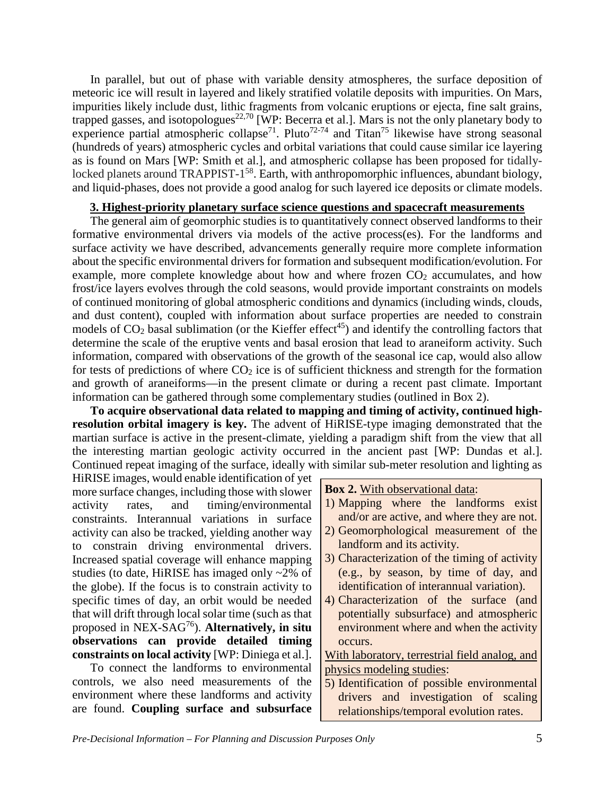In parallel, but out of phase with variable density atmospheres, the surface deposition of meteoric ice will result in layered and likely stratified volatile deposits with impurities. On Mars, impurities likely include dust, lithic fragments from volcanic eruptions or ejecta, fine salt grains, trapped gasses, and isotopologues<sup>22,70</sup> [WP: Becerra et al.]. Mars is not the only planetary body to experience partial atmospheric collapse<sup>71</sup>. Pluto<sup>72-74</sup> and Titan<sup>75</sup> likewise have strong seasonal (hundreds of years) atmospheric cycles and orbital variations that could cause similar ice layering as is found on Mars [WP: Smith et al.], and atmospheric collapse has been proposed for tidallylocked planets around TRAPPIST-1<sup>58</sup>. Earth, with anthropomorphic influences, abundant biology, and liquid-phases, does not provide a good analog for such layered ice deposits or climate models.

## **3. Highest-priority planetary surface science questions and spacecraft measurements**

The general aim of geomorphic studies is to quantitatively connect observed landforms to their formative environmental drivers via models of the active process(es). For the landforms and surface activity we have described, advancements generally require more complete information about the specific environmental drivers for formation and subsequent modification/evolution. For example, more complete knowledge about how and where frozen  $CO<sub>2</sub>$  accumulates, and how frost/ice layers evolves through the cold seasons, would provide important constraints on models of continued monitoring of global atmospheric conditions and dynamics (including winds, clouds, and dust content), coupled with information about surface properties are needed to constrain models of  $CO<sub>2</sub>$  basal sublimation (or the Kieffer effect<sup>45</sup>) and identify the controlling factors that determine the scale of the eruptive vents and basal erosion that lead to araneiform activity. Such information, compared with observations of the growth of the seasonal ice cap, would also allow for tests of predictions of where  $CO<sub>2</sub>$  ice is of sufficient thickness and strength for the formation and growth of araneiforms—in the present climate or during a recent past climate. Important information can be gathered through some complementary studies (outlined in Box 2).

**To acquire observational data related to mapping and timing of activity, continued highresolution orbital imagery is key.** The advent of HiRISE-type imaging demonstrated that the martian surface is active in the present-climate, yielding a paradigm shift from the view that all the interesting martian geologic activity occurred in the ancient past [WP: Dundas et al.]. Continued repeat imaging of the surface, ideally with similar sub-meter resolution and lighting as

HiRISE images, would enable identification of yet more surface changes, including those with slower activity rates, and timing/environmental constraints. Interannual variations in surface activity can also be tracked, yielding another way to constrain driving environmental drivers. Increased spatial coverage will enhance mapping studies (to date, HiRISE has imaged only ~2% of the globe). If the focus is to constrain activity to specific times of day, an orbit would be needed that will drift through local solar time (such as that proposed in NEX-SAG76). **Alternatively, in situ observations can provide detailed timing constraints on local activity** [WP: Diniega et al.].

To connect the landforms to environmental controls, we also need measurements of the environment where these landforms and activity are found. **Coupling surface and subsurface**  **Box 2.** With observational data:

- 1) Mapping where the landforms exist and/or are active, and where they are not.
- 2) Geomorphological measurement of the landform and its activity.
- 3) Characterization of the timing of activity (e.g., by season, by time of day, and identification of interannual variation).
- 4) Characterization of the surface (and potentially subsurface) and atmospheric environment where and when the activity occurs.

With laboratory, terrestrial field analog, and physics modeling studies:

5) Identification of possible environmental drivers and investigation of scaling relationships/temporal evolution rates.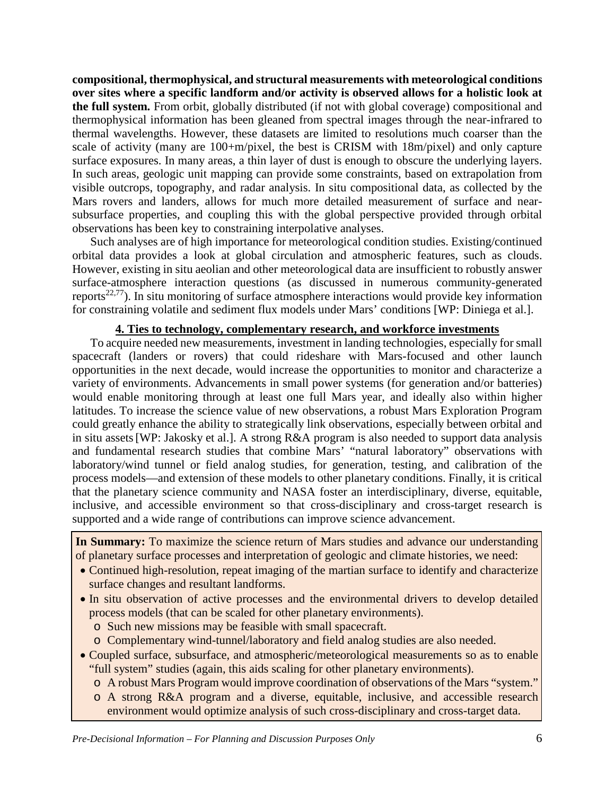**compositional, thermophysical, and structural measurements with meteorological conditions over sites where a specific landform and/or activity is observed allows for a holistic look at the full system.** From orbit, globally distributed (if not with global coverage) compositional and thermophysical information has been gleaned from spectral images through the near-infrared to thermal wavelengths. However, these datasets are limited to resolutions much coarser than the scale of activity (many are 100+m/pixel, the best is CRISM with 18m/pixel) and only capture surface exposures. In many areas, a thin layer of dust is enough to obscure the underlying layers. In such areas, geologic unit mapping can provide some constraints, based on extrapolation from visible outcrops, topography, and radar analysis. In situ compositional data, as collected by the Mars rovers and landers, allows for much more detailed measurement of surface and nearsubsurface properties, and coupling this with the global perspective provided through orbital observations has been key to constraining interpolative analyses.

Such analyses are of high importance for meteorological condition studies. Existing/continued orbital data provides a look at global circulation and atmospheric features, such as clouds. However, existing in situ aeolian and other meteorological data are insufficient to robustly answer surface-atmosphere interaction questions (as discussed in numerous community-generated reports<sup>22,77</sup>). In situ monitoring of surface atmosphere interactions would provide key information for constraining volatile and sediment flux models under Mars' conditions [WP: Diniega et al.].

#### **4. Ties to technology, complementary research, and workforce investments**

To acquire needed new measurements, investment in landing technologies, especially for small spacecraft (landers or rovers) that could rideshare with Mars-focused and other launch opportunities in the next decade, would increase the opportunities to monitor and characterize a variety of environments. Advancements in small power systems (for generation and/or batteries) would enable monitoring through at least one full Mars year, and ideally also within higher latitudes. To increase the science value of new observations, a robust Mars Exploration Program could greatly enhance the ability to strategically link observations, especially between orbital and in situ assets[WP: Jakosky et al.]. A strong R&A program is also needed to support data analysis and fundamental research studies that combine Mars' "natural laboratory" observations with laboratory/wind tunnel or field analog studies, for generation, testing, and calibration of the process models—and extension of these models to other planetary conditions. Finally, it is critical that the planetary science community and NASA foster an interdisciplinary, diverse, equitable, inclusive, and accessible environment so that cross-disciplinary and cross-target research is supported and a wide range of contributions can improve science advancement.

**In Summary:** To maximize the science return of Mars studies and advance our understanding of planetary surface processes and interpretation of geologic and climate histories, we need:

- Continued high-resolution, repeat imaging of the martian surface to identify and characterize surface changes and resultant landforms.
- In situ observation of active processes and the environmental drivers to develop detailed process models (that can be scaled for other planetary environments).
	- o Such new missions may be feasible with small spacecraft.
	- o Complementary wind-tunnel/laboratory and field analog studies are also needed.
- Coupled surface, subsurface, and atmospheric/meteorological measurements so as to enable "full system" studies (again, this aids scaling for other planetary environments).
	- o A robust Mars Program would improve coordination of observations of the Mars "system."
	- o A strong R&A program and a diverse, equitable, inclusive, and accessible research environment would optimize analysis of such cross-disciplinary and cross-target data.